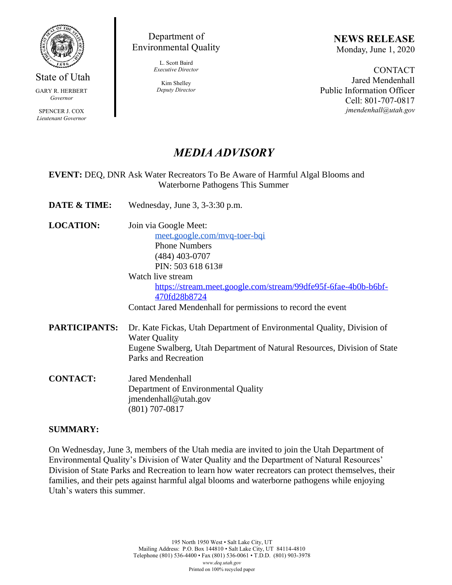

State of Utah GARY R. HERBERT

*Governor*

SPENCER J. COX *Lieutenant Governor*

Department of Environmental Quality

> L. Scott Baird *Executive Director*

Kim Shelley *Deputy Director* **NEWS RELEASE** Monday, June 1, 2020

**CONTACT** Jared Mendenhall Public Information Officer Cell: 801-707-0817 *jmendenhall@utah.gov*

## *MEDIA ADVISORY*

## **EVENT:** DEQ, DNR Ask Water Recreators To Be Aware of Harmful Algal Blooms and Waterborne Pathogens This Summer

- **DATE & TIME:** Wednesday, June 3, 3-3:30 p.m.
- **LOCATION:** Join via Google Meet:

[meet.google.com/mvq-toer-bqi](http://meet.google.com/mvq-toer-bqi) Phone Numbers (484) 403-0707 PIN: 503 618 613#

Watch live stream [https://stream.meet.google.com/stream/99dfe95f-6fae-4b0b-b6bf-](https://stream.meet.google.com/stream/99dfe95f-6fae-4b0b-b6bf-470fd28b8724)[470fd28b8724](https://stream.meet.google.com/stream/99dfe95f-6fae-4b0b-b6bf-470fd28b8724)

Contact Jared Mendenhall for permissions to record the event

- **PARTICIPANTS:** Dr. Kate Fickas, Utah Department of Environmental Quality, Division of Water Quality Eugene Swalberg, Utah Department of Natural Resources, Division of State Parks and Recreation
- **CONTACT:** Jared Mendenhall Department of Environmental Quality jmendenhall@utah.gov (801) 707-0817

## **SUMMARY:**

On Wednesday, June 3, members of the Utah media are invited to join the Utah Department of Environmental Quality's Division of Water Quality and the Department of Natural Resources' Division of State Parks and Recreation to learn how water recreators can protect themselves, their families, and their pets against harmful algal blooms and waterborne pathogens while enjoying Utah's waters this summer.